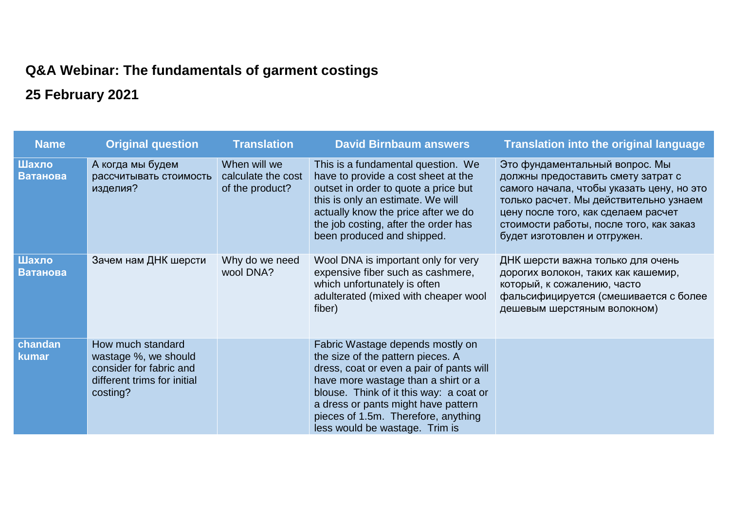## **Q&A Webinar: The fundamentals of garment costings**

## **25 February 2021**

| <b>Name</b>       | <b>Original question</b>                                                                                        | <b>Translation</b>                                    | <b>David Birnbaum answers</b>                                                                                                                                                                                                                                                                                       | <b>Translation into the original language</b>                                                                                                                                                                                                                                 |
|-------------------|-----------------------------------------------------------------------------------------------------------------|-------------------------------------------------------|---------------------------------------------------------------------------------------------------------------------------------------------------------------------------------------------------------------------------------------------------------------------------------------------------------------------|-------------------------------------------------------------------------------------------------------------------------------------------------------------------------------------------------------------------------------------------------------------------------------|
| Шахло<br>Ватанова | А когда мы будем<br>рассчитывать стоимость<br>изделия?                                                          | When will we<br>calculate the cost<br>of the product? | This is a fundamental question. We<br>have to provide a cost sheet at the<br>outset in order to quote a price but<br>this is only an estimate. We will<br>actually know the price after we do<br>the job costing, after the order has<br>been produced and shipped.                                                 | Это фундаментальный вопрос. Мы<br>должны предоставить смету затрат с<br>самого начала, чтобы указать цену, но это<br>только расчет. Мы действительно узнаем<br>цену после того, как сделаем расчет<br>стоимости работы, после того, как заказ<br>будет изготовлен и отгружен. |
| Шахло<br>Ватанова | Зачем нам ДНК шерсти                                                                                            | Why do we need<br>wool DNA?                           | Wool DNA is important only for very<br>expensive fiber such as cashmere,<br>which unfortunately is often<br>adulterated (mixed with cheaper wool<br>fiber)                                                                                                                                                          | ДНК шерсти важна только для очень<br>дорогих волокон, таких как кашемир,<br>который, к сожалению, часто<br>фальсифицируется (смешивается с более<br>дешевым шерстяным волокном)                                                                                               |
| chandan<br>kumar  | How much standard<br>wastage %, we should<br>consider for fabric and<br>different trims for initial<br>costing? |                                                       | Fabric Wastage depends mostly on<br>the size of the pattern pieces. A<br>dress, coat or even a pair of pants will<br>have more wastage than a shirt or a<br>blouse. Think of it this way: a coat or<br>a dress or pants might have pattern<br>pieces of 1.5m. Therefore, anything<br>less would be wastage. Trim is |                                                                                                                                                                                                                                                                               |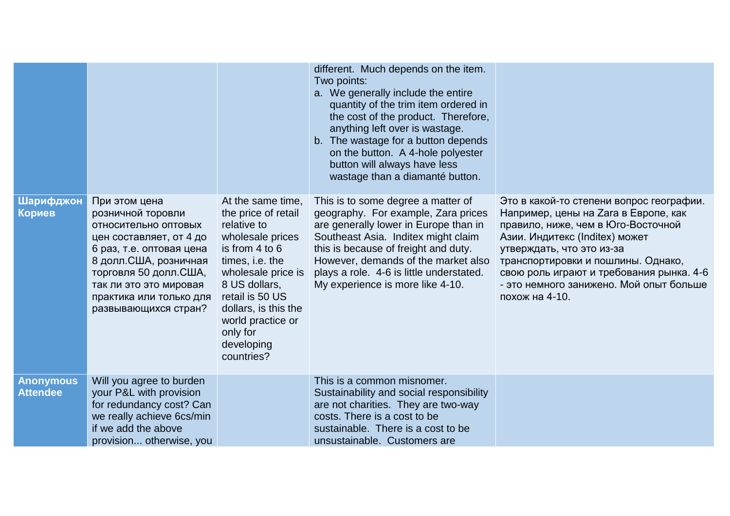|                                     |                                                                                                                                                                                                                                                    |                                                                                                                                                                                                                                                                 | different. Much depends on the item.<br>Two points:<br>a. We generally include the entire<br>quantity of the trim item ordered in<br>the cost of the product. Therefore,<br>anything left over is wastage.<br>b. The wastage for a button depends<br>on the button. A 4-hole polyester<br>button will always have less<br>wastage than a diamanté button. |                                                                                                                                                                                                                                                                                                                                      |
|-------------------------------------|----------------------------------------------------------------------------------------------------------------------------------------------------------------------------------------------------------------------------------------------------|-----------------------------------------------------------------------------------------------------------------------------------------------------------------------------------------------------------------------------------------------------------------|-----------------------------------------------------------------------------------------------------------------------------------------------------------------------------------------------------------------------------------------------------------------------------------------------------------------------------------------------------------|--------------------------------------------------------------------------------------------------------------------------------------------------------------------------------------------------------------------------------------------------------------------------------------------------------------------------------------|
| Шарифджон<br>Кориев                 | При этом цена<br>розничной торовли<br>относительно оптовых<br>цен составляет, от 4 до<br>6 раз, т.е. оптовая цена<br>8 долл. США, розничная<br>торговля 50 долл. США,<br>так ли это это мировая<br>практика или только для<br>развывающихся стран? | At the same time,<br>the price of retail<br>relative to<br>wholesale prices<br>is from 4 to 6<br>times, i.e. the<br>wholesale price is<br>8 US dollars,<br>retail is 50 US<br>dollars, is this the<br>world practice or<br>only for<br>developing<br>countries? | This is to some degree a matter of<br>geography. For example, Zara prices<br>are generally lower in Europe than in<br>Southeast Asia. Inditex might claim<br>this is because of freight and duty.<br>However, demands of the market also<br>plays a role. 4-6 is little understated.<br>My experience is more like 4-10.                                  | Это в какой-то степени вопрос географии.<br>Например, цены на Zara в Европе, как<br>правило, ниже, чем в Юго-Восточной<br>Азии. Индитекс (Inditex) может<br>утверждать, что это из-за<br>транспортировки и пошлины. Однако,<br>свою роль играют и требования рынка. 4-6<br>- это немного занижено. Мой опыт больше<br>похож на 4-10. |
| <b>Anonymous</b><br><b>Attendee</b> | Will you agree to burden<br>your P&L with provision<br>for redundancy cost? Can<br>we really achieve 6cs/min<br>if we add the above<br>provision otherwise, you                                                                                    |                                                                                                                                                                                                                                                                 | This is a common misnomer.<br>Sustainability and social responsibility<br>are not charities. They are two-way<br>costs. There is a cost to be<br>sustainable. There is a cost to be<br>unsustainable. Customers are                                                                                                                                       |                                                                                                                                                                                                                                                                                                                                      |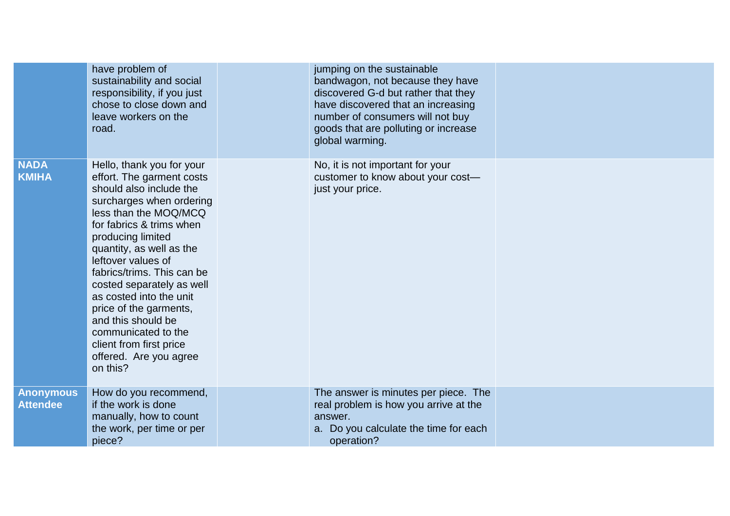|                                     | have problem of<br>sustainability and social<br>responsibility, if you just<br>chose to close down and<br>leave workers on the<br>road.                                                                                                                                                                                                                                                                                                                                 | jumping on the sustainable<br>bandwagon, not because they have<br>discovered G-d but rather that they<br>have discovered that an increasing<br>number of consumers will not buy<br>goods that are polluting or increase<br>global warming. |  |
|-------------------------------------|-------------------------------------------------------------------------------------------------------------------------------------------------------------------------------------------------------------------------------------------------------------------------------------------------------------------------------------------------------------------------------------------------------------------------------------------------------------------------|--------------------------------------------------------------------------------------------------------------------------------------------------------------------------------------------------------------------------------------------|--|
| <b>NADA</b><br><b>KMIHA</b>         | Hello, thank you for your<br>effort. The garment costs<br>should also include the<br>surcharges when ordering<br>less than the MOQ/MCQ<br>for fabrics & trims when<br>producing limited<br>quantity, as well as the<br>leftover values of<br>fabrics/trims. This can be<br>costed separately as well<br>as costed into the unit<br>price of the garments,<br>and this should be<br>communicated to the<br>client from first price<br>offered. Are you agree<br>on this? | No, it is not important for your<br>customer to know about your cost-<br>just your price.                                                                                                                                                  |  |
| <b>Anonymous</b><br><b>Attendee</b> | How do you recommend,<br>if the work is done<br>manually, how to count<br>the work, per time or per<br>piece?                                                                                                                                                                                                                                                                                                                                                           | The answer is minutes per piece. The<br>real problem is how you arrive at the<br>answer.<br>a. Do you calculate the time for each<br>operation?                                                                                            |  |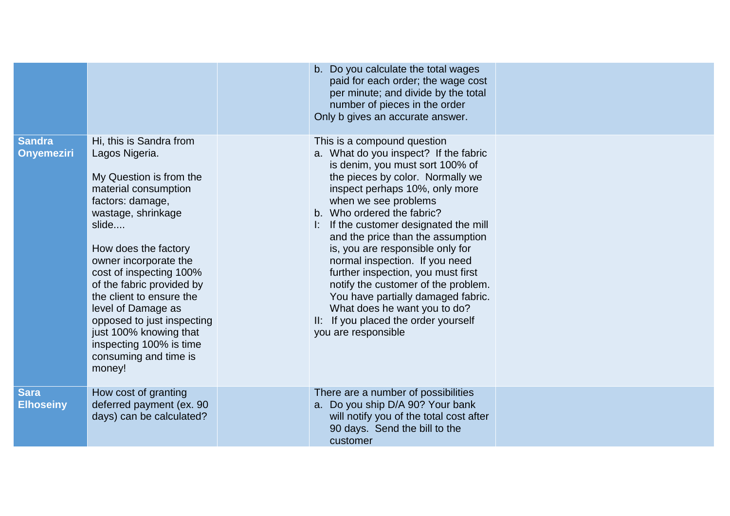|                                    |                                                                                                                                                                                                                                                                                                                                                                                                                                  | b. Do you calculate the total wages<br>paid for each order; the wage cost<br>per minute; and divide by the total<br>number of pieces in the order<br>Only b gives an accurate answer.                                                                                                                                                                                                                                                                                                                                                                                                                   |  |
|------------------------------------|----------------------------------------------------------------------------------------------------------------------------------------------------------------------------------------------------------------------------------------------------------------------------------------------------------------------------------------------------------------------------------------------------------------------------------|---------------------------------------------------------------------------------------------------------------------------------------------------------------------------------------------------------------------------------------------------------------------------------------------------------------------------------------------------------------------------------------------------------------------------------------------------------------------------------------------------------------------------------------------------------------------------------------------------------|--|
| <b>Sandra</b><br><b>Onyemeziri</b> | Hi, this is Sandra from<br>Lagos Nigeria.<br>My Question is from the<br>material consumption<br>factors: damage,<br>wastage, shrinkage<br>slide<br>How does the factory<br>owner incorporate the<br>cost of inspecting 100%<br>of the fabric provided by<br>the client to ensure the<br>level of Damage as<br>opposed to just inspecting<br>just 100% knowing that<br>inspecting 100% is time<br>consuming and time is<br>money! | This is a compound question<br>a. What do you inspect? If the fabric<br>is denim, you must sort 100% of<br>the pieces by color. Normally we<br>inspect perhaps 10%, only more<br>when we see problems<br>b. Who ordered the fabric?<br>If the customer designated the mill<br>and the price than the assumption<br>is, you are responsible only for<br>normal inspection. If you need<br>further inspection, you must first<br>notify the customer of the problem.<br>You have partially damaged fabric.<br>What does he want you to do?<br>II: If you placed the order yourself<br>you are responsible |  |
| <b>Sara</b><br><b>Elhoseiny</b>    | How cost of granting<br>deferred payment (ex. 90<br>days) can be calculated?                                                                                                                                                                                                                                                                                                                                                     | There are a number of possibilities<br>a. Do you ship D/A 90? Your bank<br>will notify you of the total cost after<br>90 days. Send the bill to the<br>customer                                                                                                                                                                                                                                                                                                                                                                                                                                         |  |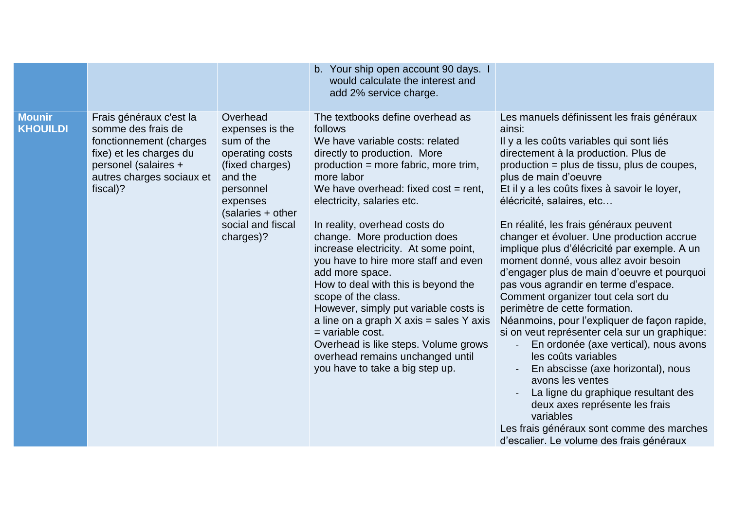|                                  |                                                                                                                                                                      |                                                                                                                                                                            | b. Your ship open account 90 days. I<br>would calculate the interest and<br>add 2% service charge.                                                                                                                                                                                                                                                                                                                                                                                                                                                                                                                                                                                                         |                                                                                                                                                                                                                                                                                                                                                                                                                                                                                                                                                                                                                                                                                                                                                                                                                                                                                                                                                                                                                                                        |
|----------------------------------|----------------------------------------------------------------------------------------------------------------------------------------------------------------------|----------------------------------------------------------------------------------------------------------------------------------------------------------------------------|------------------------------------------------------------------------------------------------------------------------------------------------------------------------------------------------------------------------------------------------------------------------------------------------------------------------------------------------------------------------------------------------------------------------------------------------------------------------------------------------------------------------------------------------------------------------------------------------------------------------------------------------------------------------------------------------------------|--------------------------------------------------------------------------------------------------------------------------------------------------------------------------------------------------------------------------------------------------------------------------------------------------------------------------------------------------------------------------------------------------------------------------------------------------------------------------------------------------------------------------------------------------------------------------------------------------------------------------------------------------------------------------------------------------------------------------------------------------------------------------------------------------------------------------------------------------------------------------------------------------------------------------------------------------------------------------------------------------------------------------------------------------------|
| <b>Mounir</b><br><b>KHOUILDI</b> | Frais généraux c'est la<br>somme des frais de<br>fonctionnement (charges<br>fixe) et les charges du<br>personel (salaires +<br>autres charges sociaux et<br>fiscal)? | Overhead<br>expenses is the<br>sum of the<br>operating costs<br>(fixed charges)<br>and the<br>personnel<br>expenses<br>(salaries + other<br>social and fiscal<br>charges)? | The textbooks define overhead as<br>follows<br>We have variable costs: related<br>directly to production. More<br>production = more fabric, more trim,<br>more labor<br>We have overhead: fixed $cost = rent$ ,<br>electricity, salaries etc.<br>In reality, overhead costs do<br>change. More production does<br>increase electricity. At some point,<br>you have to hire more staff and even<br>add more space.<br>How to deal with this is beyond the<br>scope of the class.<br>However, simply put variable costs is<br>a line on a graph $X$ axis = sales Y axis<br>$=$ variable cost.<br>Overhead is like steps. Volume grows<br>overhead remains unchanged until<br>you have to take a big step up. | Les manuels définissent les frais généraux<br>ainsi:<br>Il y a les coûts variables qui sont liés<br>directement à la production. Plus de<br>production = plus de tissu, plus de coupes,<br>plus de main d'oeuvre<br>Et il y a les coûts fixes à savoir le loyer,<br>élécricité, salaires, etc<br>En réalité, les frais généraux peuvent<br>changer et évoluer. Une production accrue<br>implique plus d'élécricité par exemple. A un<br>moment donné, vous allez avoir besoin<br>d'engager plus de main d'oeuvre et pourquoi<br>pas vous agrandir en terme d'espace.<br>Comment organizer tout cela sort du<br>perimètre de cette formation.<br>Néanmoins, pour l'expliquer de façon rapide,<br>si on veut représenter cela sur un graphique:<br>En ordonée (axe vertical), nous avons<br>les coûts variables<br>En abscisse (axe horizontal), nous<br>avons les ventes<br>La ligne du graphique resultant des<br>deux axes représente les frais<br>variables<br>Les frais généraux sont comme des marches<br>d'escalier. Le volume des frais généraux |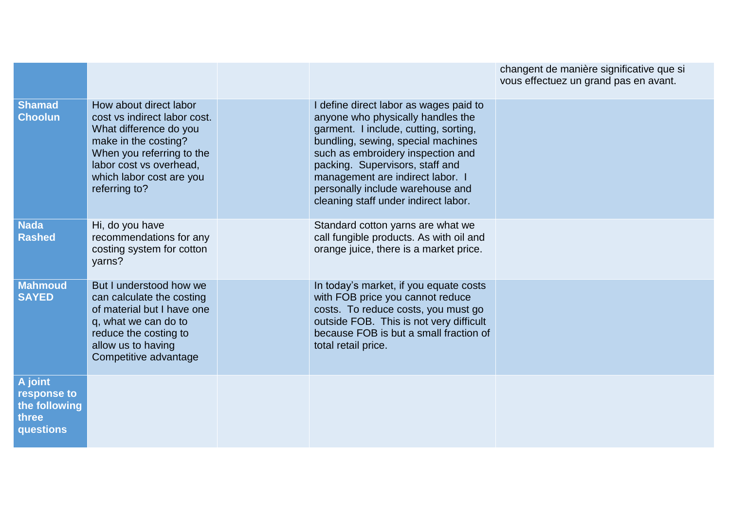|                                                               |                                                                                                                                                                                                               |                                                                                                                                                                                                                                                                                                                                                    | changent de manière significative que si<br>vous effectuez un grand pas en avant. |
|---------------------------------------------------------------|---------------------------------------------------------------------------------------------------------------------------------------------------------------------------------------------------------------|----------------------------------------------------------------------------------------------------------------------------------------------------------------------------------------------------------------------------------------------------------------------------------------------------------------------------------------------------|-----------------------------------------------------------------------------------|
| <b>Shamad</b><br><b>Choolun</b>                               | How about direct labor<br>cost vs indirect labor cost.<br>What difference do you<br>make in the costing?<br>When you referring to the<br>labor cost vs overhead,<br>which labor cost are you<br>referring to? | I define direct labor as wages paid to<br>anyone who physically handles the<br>garment. I include, cutting, sorting,<br>bundling, sewing, special machines<br>such as embroidery inspection and<br>packing. Supervisors, staff and<br>management are indirect labor. I<br>personally include warehouse and<br>cleaning staff under indirect labor. |                                                                                   |
| <b>Nada</b><br><b>Rashed</b>                                  | Hi, do you have<br>recommendations for any<br>costing system for cotton<br>yarns?                                                                                                                             | Standard cotton yarns are what we<br>call fungible products. As with oil and<br>orange juice, there is a market price.                                                                                                                                                                                                                             |                                                                                   |
| <b>Mahmoud</b><br><b>SAYED</b>                                | But I understood how we<br>can calculate the costing<br>of material but I have one<br>q, what we can do to<br>reduce the costing to<br>allow us to having<br>Competitive advantage                            | In today's market, if you equate costs<br>with FOB price you cannot reduce<br>costs. To reduce costs, you must go<br>outside FOB. This is not very difficult<br>because FOB is but a small fraction of<br>total retail price.                                                                                                                      |                                                                                   |
| A joint<br>response to<br>the following<br>three<br>questions |                                                                                                                                                                                                               |                                                                                                                                                                                                                                                                                                                                                    |                                                                                   |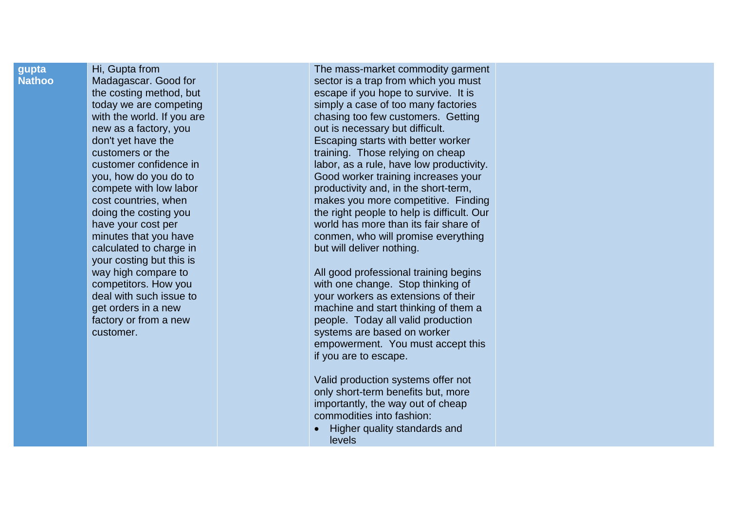## **gupta Nathoo**

Hi, Gupta from Madagascar . Good for the costing method, but today we are competing with the world. If you are new as a factory, you don't yet have the customers or the customer confidence in you, how do you do to compete with low labor cost countries, when doing the costing you have your cost per minutes that you have calculated to charge in your costing but this is wa y high compare to competitors. How you deal with such issue to get orders in a new factory or from a new customer.

The mass -market commodity garment sector is a trap from which you must escape if you hope to survive. It is simply a case o f too many factories chasing too few customers. Getting out is necessary but difficult. Escaping starts with better worker training. Those relying on cheap labor, as a rule, have low productivity. Good worker training increases your productivity and, in the short -term, makes you more competitive. Finding the right people to help is difficult. Our world has more than its fair share of conmen, who will promise everything but will deliver nothing.

All good professional training begins with one change. Stop thinking of your workers as extensions of their machine and start thinking of them a people. Today all valid production systems are based on worker empowerment. You must accept this if you are to escape.

Valid production systems offer not only short-term benefits but, more importantly, the way out of cheap commodities into fashion:

• Higher quality standards and levels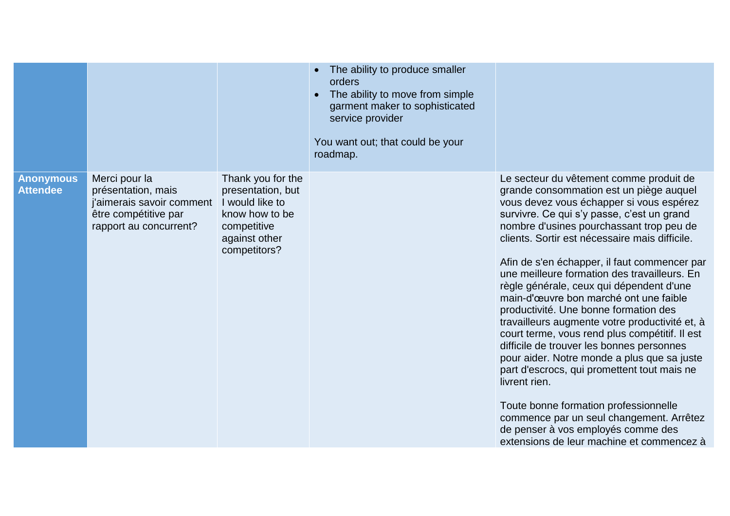|                                     |                                                                                                                    |                                                                                                                             | • The ability to produce smaller<br>orders<br>The ability to move from simple<br>garment maker to sophisticated<br>service provider<br>You want out; that could be your<br>roadmap. |                                                                                                                                                                                                                                                                                                                                                                                                                                                                                                                                                                                                                                                                                                                                                                                                                                                                                                                                                   |
|-------------------------------------|--------------------------------------------------------------------------------------------------------------------|-----------------------------------------------------------------------------------------------------------------------------|-------------------------------------------------------------------------------------------------------------------------------------------------------------------------------------|---------------------------------------------------------------------------------------------------------------------------------------------------------------------------------------------------------------------------------------------------------------------------------------------------------------------------------------------------------------------------------------------------------------------------------------------------------------------------------------------------------------------------------------------------------------------------------------------------------------------------------------------------------------------------------------------------------------------------------------------------------------------------------------------------------------------------------------------------------------------------------------------------------------------------------------------------|
| <b>Anonymous</b><br><b>Attendee</b> | Merci pour la<br>présentation, mais<br>j'aimerais savoir comment<br>être compétitive par<br>rapport au concurrent? | Thank you for the<br>presentation, but<br>I would like to<br>know how to be<br>competitive<br>against other<br>competitors? |                                                                                                                                                                                     | Le secteur du vêtement comme produit de<br>grande consommation est un piège auquel<br>vous devez vous échapper si vous espérez<br>survivre. Ce qui s'y passe, c'est un grand<br>nombre d'usines pourchassant trop peu de<br>clients. Sortir est nécessaire mais difficile.<br>Afin de s'en échapper, il faut commencer par<br>une meilleure formation des travailleurs. En<br>règle générale, ceux qui dépendent d'une<br>main-d'œuvre bon marché ont une faible<br>productivité. Une bonne formation des<br>travailleurs augmente votre productivité et, à<br>court terme, vous rend plus compétitif. Il est<br>difficile de trouver les bonnes personnes<br>pour aider. Notre monde a plus que sa juste<br>part d'escrocs, qui promettent tout mais ne<br>livrent rien.<br>Toute bonne formation professionnelle<br>commence par un seul changement. Arrêtez<br>de penser à vos employés comme des<br>extensions de leur machine et commencez à |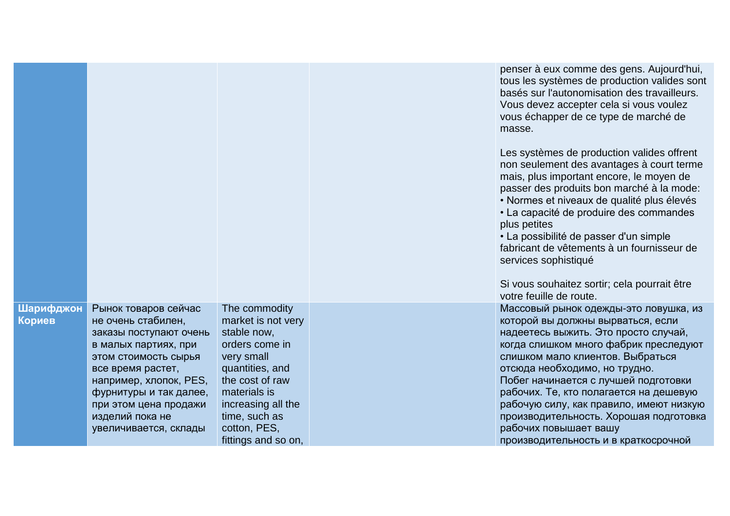|                     |                                                                                                                      |                                                                                    | penser à eux comme des gens. Aujourd'hui,<br>tous les systèmes de production valides sont<br>basés sur l'autonomisation des travailleurs.<br>Vous devez accepter cela si vous voulez<br>vous échapper de ce type de marché de<br>masse.                                                   |
|---------------------|----------------------------------------------------------------------------------------------------------------------|------------------------------------------------------------------------------------|-------------------------------------------------------------------------------------------------------------------------------------------------------------------------------------------------------------------------------------------------------------------------------------------|
|                     |                                                                                                                      |                                                                                    | Les systèmes de production valides offrent<br>non seulement des avantages à court terme<br>mais, plus important encore, le moyen de<br>passer des produits bon marché à la mode:<br>• Normes et niveaux de qualité plus élevés<br>• La capacité de produire des commandes<br>plus petites |
|                     |                                                                                                                      |                                                                                    | • La possibilité de passer d'un simple<br>fabricant de vêtements à un fournisseur de<br>services sophistiqué                                                                                                                                                                              |
|                     |                                                                                                                      |                                                                                    | Si vous souhaitez sortir; cela pourrait être<br>votre feuille de route.                                                                                                                                                                                                                   |
| Шарифджон<br>Кориев | Рынок товаров сейчас<br>не очень стабилен,<br>заказы поступают очень<br>в малых партиях, при<br>этом стоимость сырья | The commodity<br>market is not very<br>stable now,<br>orders come in<br>very small | Массовый рынок одежды-это ловушка, из<br>которой вы должны вырваться, если<br>надеетесь выжить. Это просто случай,<br>когда слишком много фабрик преследуют<br>слишком мало клиентов. Выбраться                                                                                           |
|                     | все время растет,<br>например, хлопок, PES,                                                                          | quantities, and<br>the cost of raw                                                 | отсюда необходимо, но трудно.<br>Побег начинается с лучшей подготовки                                                                                                                                                                                                                     |
|                     | фурнитуры и так далее,<br>при этом цена продажи                                                                      | materials is<br>increasing all the                                                 | рабочих. Те, кто полагается на дешевую<br>рабочую силу, как правило, имеют низкую                                                                                                                                                                                                         |
|                     | изделий пока не<br>увеличивается, склады                                                                             | time, such as<br>cotton, PES,                                                      | производительность. Хорошая подготовка<br>рабочих повышает вашу                                                                                                                                                                                                                           |
|                     |                                                                                                                      | fittings and so on,                                                                | производительность и в краткосрочной                                                                                                                                                                                                                                                      |